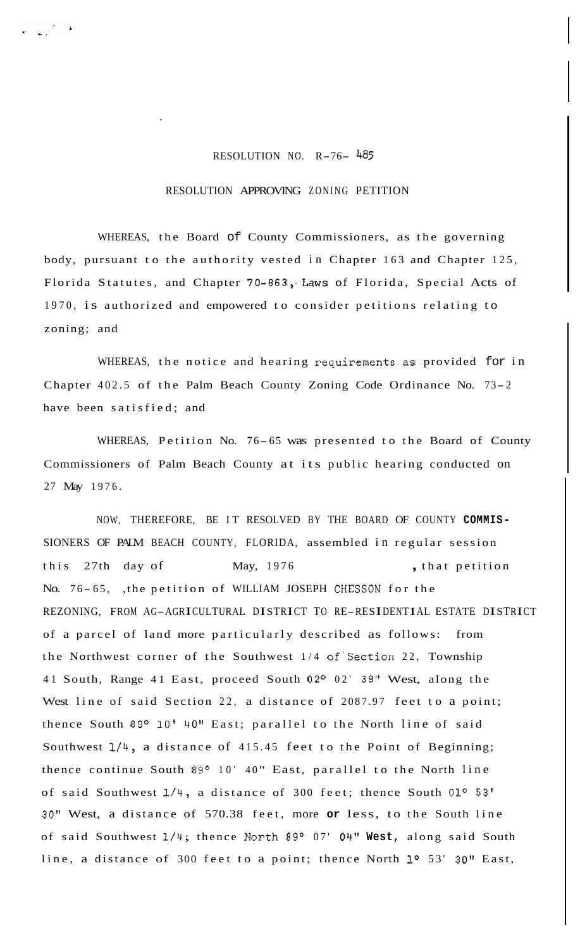## RESOLUTION NO. R-76- <sup>485</sup>

## RESOLUTION APPROVING ZONING PETITION

WHEREAS, the Board of County Commissioners, as the governing body, pursuant to the authority vested in Chapter 163 and Chapter 125, Florida Statutes, and Chapter 70-863, Laws of Florida, Special Acts of 1970, is authorized and empowered to consider petitions relating to zoning; and

WHEREAS, the notice and hearing requirements.as provided for in Chapter 402.5 of the Palm Beach County Zoning Code Ordinance No. 73- <sup>2</sup> have been satisfied; and

WHEREAS, Petition No. 76-65 was presented to the Board of County Commissioners of Palm Beach County at its public hearing conducted on 27 May 1976.

NOW, THEREFORE, BE IT RESOLVED BY THE BOARD OF COUNTY **COMMIS-**SIONERS OF PALM BEACH COUNTY, FLORIDA, assembled in regular session this 27th day of May, 1976 , that petition No. 76-65, , the petition of WILLIAM JOSEPH CHESSON for the REZONING, FROM AG-AGRICULTURAL DISTRICT TO RE-RESIDENTIAL ESTATE DISTRICT of a parcel of land more particularly described as follows: from the Northwest corner of the Southwest 1/4 of'section 22, Township 41 South, Range 41 East, proceed South 02° 02' 39" West, along the West line of said Section 22, a distance of 2087.97 feet to a point; thence South 89° 10' 40" East; parallel to the North line of said Southwest **1/4,** a distance of 415.45 feet to the Point of Beginning; thence continue South  $89^{\circ}$  10' 40" East, parallel to the North line of said Southwest 1/4, a distance of 300 feet; thence South 01<sup>o</sup> 53' **30"** West, a distance of 570.38 feet, more **or** less, to the South line of said Southwest 1/4; thence North 89° 07' 04" West, along said South line, a distance of 300 feet to a point; thence North **lo** 53' **30''** East,